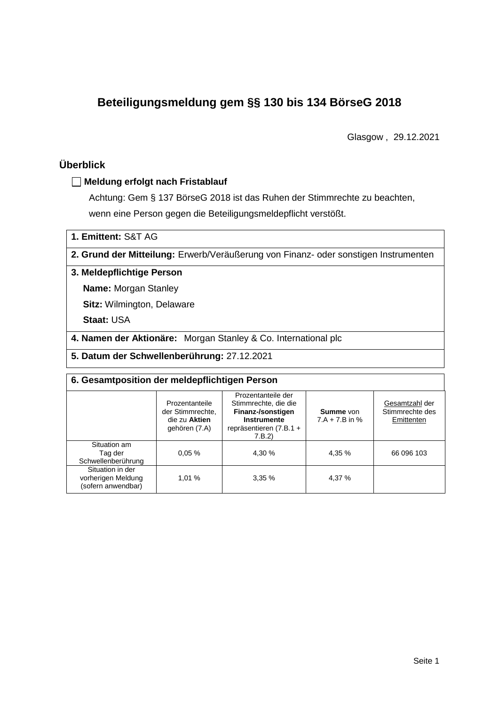# **Beteiligungsmeldung gem §§ 130 bis 134 BörseG 2018**

Glasgow , 29.12.2021

# **Überblick**

### **Meldung erfolgt nach Fristablauf**

Achtung: Gem § 137 BörseG 2018 ist das Ruhen der Stimmrechte zu beachten, wenn eine Person gegen die Beteiligungsmeldepflicht verstößt.

**1. Emittent:** S&T AG

**2. Grund der Mitteilung:** Erwerb/Veräußerung von Finanz- oder sonstigen Instrumenten

### **3. Meldepflichtige Person**

**Name:** Morgan Stanley

**Sitz:** Wilmington, Delaware

**Staat:** USA

**4. Namen der Aktionäre:** Morgan Stanley & Co. International plc

**5. Datum der Schwellenberührung:** 27.12.2021

| 6. Gesamtposition der meldepflichtigen Person                |                                                                      |                                                                                                                             |                                      |                                                 |  |  |  |
|--------------------------------------------------------------|----------------------------------------------------------------------|-----------------------------------------------------------------------------------------------------------------------------|--------------------------------------|-------------------------------------------------|--|--|--|
|                                                              | Prozentanteile<br>der Stimmrechte.<br>die zu Aktien<br>gehören (7.A) | Prozentanteile der<br>Stimmrechte, die die<br>Finanz-/sonstigen<br><b>Instrumente</b><br>repräsentieren $(7.B.1 +$<br>7.B.2 | <b>Summe</b> von<br>$7.A + 7.B$ in % | Gesamtzahl der<br>Stimmrechte des<br>Emittenten |  |  |  |
| Situation am<br>Tag der<br>Schwellenberührung                | 0.05%                                                                | 4,30 %                                                                                                                      | 4.35 %                               | 66 096 103                                      |  |  |  |
| Situation in der<br>vorherigen Meldung<br>(sofern anwendbar) | 1,01 %                                                               | 3,35%                                                                                                                       | 4,37 %                               |                                                 |  |  |  |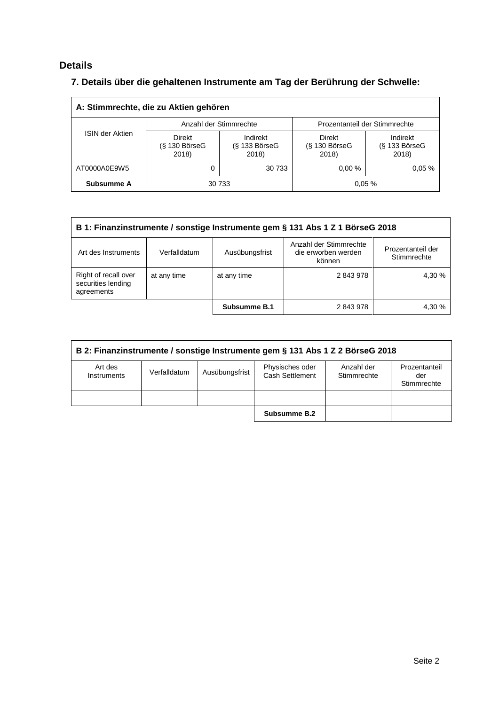# **Details**

# **7. Details über die gehaltenen Instrumente am Tag der Berührung der Schwelle:**

| A: Stimmrechte, die zu Aktien gehören |                                           |                                      |                                           |                                      |  |  |  |
|---------------------------------------|-------------------------------------------|--------------------------------------|-------------------------------------------|--------------------------------------|--|--|--|
|                                       |                                           | Anzahl der Stimmrechte               | Prozentanteil der Stimmrechte             |                                      |  |  |  |
| <b>ISIN der Aktien</b>                | <b>Direkt</b><br>$(S$ 130 BörseG<br>2018) | Indirekt<br>$(S$ 133 BörseG<br>2018) | <b>Direkt</b><br>$(S$ 130 BörseG<br>2018) | Indirekt<br>$(S$ 133 BörseG<br>2018) |  |  |  |
| AT0000A0E9W5                          |                                           | 30 733                               | 0.00%                                     | 0.05%                                |  |  |  |
| Subsumme A                            |                                           | 30 733                               |                                           | 0.05%                                |  |  |  |

| B 1: Finanzinstrumente / sonstige Instrumente gem § 131 Abs 1 Z 1 BörseG 2018 |              |                |                                                         |                                  |  |  |
|-------------------------------------------------------------------------------|--------------|----------------|---------------------------------------------------------|----------------------------------|--|--|
| Art des Instruments                                                           | Verfalldatum | Ausübungsfrist | Anzahl der Stimmrechte<br>die erworben werden<br>können | Prozentanteil der<br>Stimmrechte |  |  |
| Right of recall over<br>securities lending<br>agreements                      | at any time  | at any time    | 2843978                                                 | 4.30 %                           |  |  |
|                                                                               |              | Subsumme B.1   | 2843978                                                 | 4.30 %                           |  |  |

| B 2: Finanzinstrumente / sonstige Instrumente gem § 131 Abs 1 Z 2 BörseG 2018 |              |                |                                    |                           |                                     |  |  |
|-------------------------------------------------------------------------------|--------------|----------------|------------------------------------|---------------------------|-------------------------------------|--|--|
| Art des<br>Instruments                                                        | Verfalldatum | Ausübungsfrist | Physisches oder<br>Cash Settlement | Anzahl der<br>Stimmrechte | Prozentanteil<br>der<br>Stimmrechte |  |  |
|                                                                               |              |                |                                    |                           |                                     |  |  |
|                                                                               |              |                | Subsumme B.2                       |                           |                                     |  |  |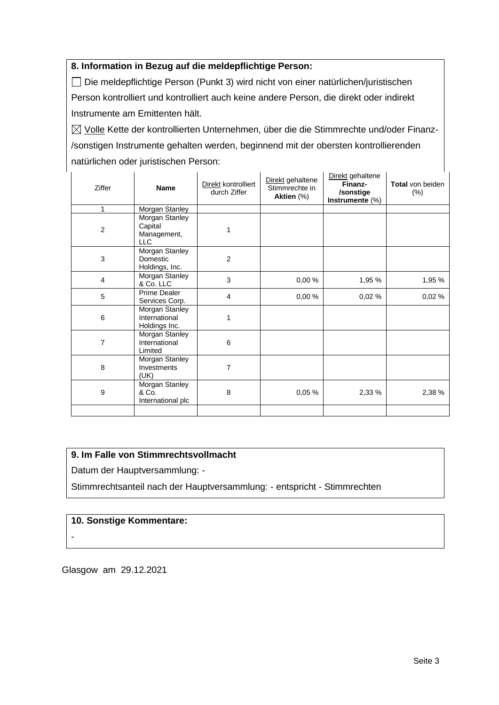### **8. Information in Bezug auf die meldepflichtige Person:**

Die meldepflichtige Person (Punkt 3) wird nicht von einer natürlichen/juristischen Person kontrolliert und kontrolliert auch keine andere Person, die direkt oder indirekt Instrumente am Emittenten hält.

 $\boxtimes$  Volle Kette der kontrollierten Unternehmen, über die die Stimmrechte und/oder Finanz-/sonstigen Instrumente gehalten werden, beginnend mit der obersten kontrollierenden natürlichen oder juristischen Person:

| Ziffer                  | <b>Name</b>                                            | Direkt kontrolliert<br>durch Ziffer | Direkt gehaltene<br>Stimmrechte in<br>Aktien (%) | Direkt gehaltene<br>Finanz-<br>/sonstige<br>Instrumente (%) | <b>Total</b> von beiden<br>$(\%)$ |
|-------------------------|--------------------------------------------------------|-------------------------------------|--------------------------------------------------|-------------------------------------------------------------|-----------------------------------|
| 1                       | Morgan Stanley                                         |                                     |                                                  |                                                             |                                   |
| $\overline{2}$          | Morgan Stanley<br>Capital<br>Management,<br><b>LLC</b> | 1                                   |                                                  |                                                             |                                   |
| 3                       | Morgan Stanley<br>Domestic<br>Holdings, Inc.           | $\overline{2}$                      |                                                  |                                                             |                                   |
| $\overline{\mathbf{4}}$ | Morgan Stanley<br>& Co. LLC                            | 3                                   | 0,00%                                            | 1,95 %                                                      | 1,95 %                            |
| 5                       | Prime Dealer<br>Services Corp.                         | $\overline{4}$                      | 0,00%                                            | 0,02%                                                       | 0,02%                             |
| 6                       | Morgan Stanley<br>International<br>Holdings Inc.       | 1                                   |                                                  |                                                             |                                   |
| $\overline{7}$          | Morgan Stanley<br>International<br>Limited             | 6                                   |                                                  |                                                             |                                   |
| 8                       | Morgan Stanley<br>Investments<br>(UK)                  | 7                                   |                                                  |                                                             |                                   |
| 9                       | Morgan Stanley<br>& Co.<br>International plc           | 8                                   | 0,05%                                            | 2,33 %                                                      | 2,38 %                            |
|                         |                                                        |                                     |                                                  |                                                             |                                   |

## **9. Im Falle von Stimmrechtsvollmacht**

Datum der Hauptversammlung: -

Stimmrechtsanteil nach der Hauptversammlung: - entspricht - Stimmrechten

#### **10. Sonstige Kommentare:**

-

Glasgow am 29.12.2021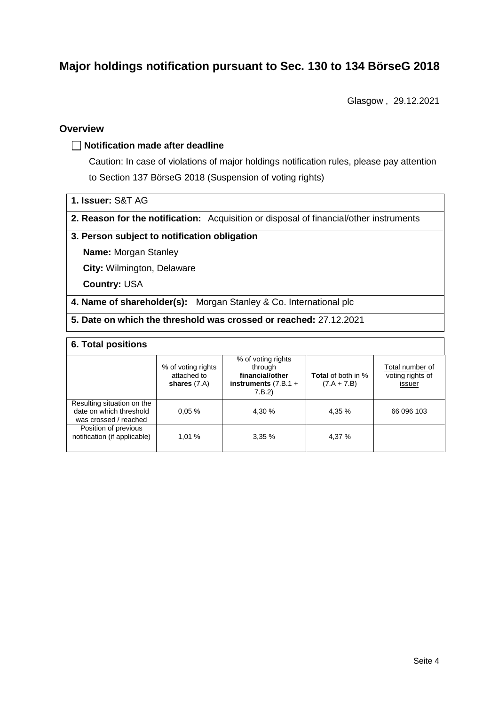# **Major holdings notification pursuant to Sec. 130 to 134 BörseG 2018**

Glasgow , 29.12.2021

## **Overview**

#### **Notification made after deadline**

Caution: In case of violations of major holdings notification rules, please pay attention to Section 137 BörseG 2018 (Suspension of voting rights)

- **1. Issuer:** S&T AG
- **2. Reason for the notification:** Acquisition or disposal of financial/other instruments

#### **3. Person subject to notification obligation**

**Name:** Morgan Stanley

**City:** Wilmington, Delaware

**Country:** USA

**4. Name of shareholder(s):** Morgan Stanley & Co. International plc

**5. Date on which the threshold was crossed or reached:** 27.12.2021

### **6. Total positions**

|                                                                                | % of voting rights<br>attached to<br>shares $(7.A)$ | % of voting rights<br>through<br>financial/other<br>instruments $(7.B.1 +$<br>7.B.2 | <b>Total</b> of both in %<br>$(7.A + 7.B)$ | Total number of<br>voting rights of<br>issuer |
|--------------------------------------------------------------------------------|-----------------------------------------------------|-------------------------------------------------------------------------------------|--------------------------------------------|-----------------------------------------------|
| Resulting situation on the<br>date on which threshold<br>was crossed / reached | 0.05%                                               | 4.30 %                                                                              | 4.35 %                                     | 66 096 103                                    |
| Position of previous<br>notification (if applicable)                           | 1.01%                                               | 3,35%                                                                               | 4,37 %                                     |                                               |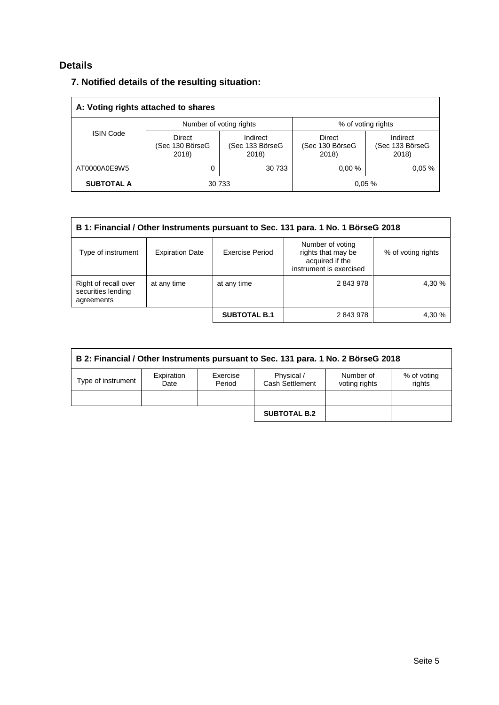# **Details**

## **7. Notified details of the resulting situation:**

| A: Voting rights attached to shares |                                    |                                      |                                    |                                      |  |  |  |
|-------------------------------------|------------------------------------|--------------------------------------|------------------------------------|--------------------------------------|--|--|--|
|                                     |                                    | Number of voting rights              | % of voting rights                 |                                      |  |  |  |
| <b>ISIN Code</b>                    | Direct<br>(Sec 130 BörseG<br>2018) | Indirect<br>(Sec 133 BörseG<br>2018) | Direct<br>(Sec 130 BörseG<br>2018) | Indirect<br>(Sec 133 BörseG<br>2018) |  |  |  |
| AT0000A0E9W5                        |                                    | 30 733                               | 0.00%                              | 0.05%                                |  |  |  |
| <b>SUBTOTAL A</b>                   |                                    | 30 733                               |                                    | 0.05%                                |  |  |  |

| B 1: Financial / Other Instruments pursuant to Sec. 131 para. 1 No. 1 BörseG 2018 |                        |                     |                                                                                      |                    |  |  |  |
|-----------------------------------------------------------------------------------|------------------------|---------------------|--------------------------------------------------------------------------------------|--------------------|--|--|--|
| Type of instrument                                                                | <b>Expiration Date</b> | Exercise Period     | Number of voting<br>rights that may be<br>acquired if the<br>instrument is exercised | % of voting rights |  |  |  |
| Right of recall over<br>securities lending<br>agreements                          | at any time            | at any time         | 2843978                                                                              | 4,30 %             |  |  |  |
|                                                                                   |                        | <b>SUBTOTAL B.1</b> | 2843978                                                                              | 4.30 %             |  |  |  |

| B 2: Financial / Other Instruments pursuant to Sec. 131 para. 1 No. 2 BörseG 2018 |                    |                    |                               |                            |                       |  |  |
|-----------------------------------------------------------------------------------|--------------------|--------------------|-------------------------------|----------------------------|-----------------------|--|--|
| Type of instrument                                                                | Expiration<br>Date | Exercise<br>Period | Physical /<br>Cash Settlement | Number of<br>voting rights | % of voting<br>rights |  |  |
|                                                                                   |                    |                    |                               |                            |                       |  |  |
|                                                                                   |                    |                    | <b>SUBTOTAL B.2</b>           |                            |                       |  |  |